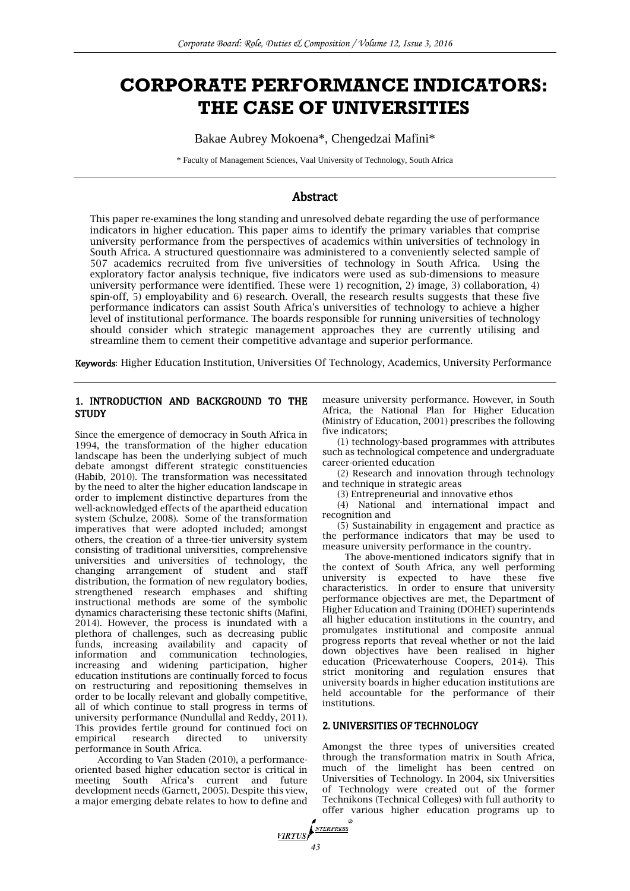# **CORPORATE PERFORMANCE INDICATORS: THE CASE OF UNIVERSITIES**

Bakae Aubrey Mokoena\*, Chengedzai Mafini\*

\* Faculty of Management Sciences, Vaal University of Technology, South Africa

# Abstract

This paper re-examines the long standing and unresolved debate regarding the use of performance indicators in higher education. This paper aims to identify the primary variables that comprise university performance from the perspectives of academics within universities of technology in South Africa. A structured questionnaire was administered to a conveniently selected sample of 507 academics recruited from five universities of technology in South Africa. Using the exploratory factor analysis technique, five indicators were used as sub-dimensions to measure university performance were identified. These were 1) recognition, 2) image, 3) collaboration, 4) spin-off, 5) employability and 6) research. Overall, the research results suggests that these five performance indicators can assist South Africa's universities of technology to achieve a higher level of institutional performance. The boards responsible for running universities of technology should consider which strategic management approaches they are currently utilising and streamline them to cement their competitive advantage and superior performance.

Keywords: Higher Education Institution, Universities Of Technology, Academics, University Performance

# 1. INTRODUCTION AND BACKGROUND TO THE **STUDY**

Since the emergence of democracy in South Africa in 1994, the transformation of the higher education landscape has been the underlying subject of much debate amongst different strategic constituencies (Habib, 2010). The transformation was necessitated by the need to alter the higher education landscape in order to implement distinctive departures from the well-acknowledged effects of the apartheid education system (Schulze, 2008). Some of the transformation imperatives that were adopted included; amongst others, the creation of a three-tier university system consisting of traditional universities, comprehensive universities and universities of technology, the changing arrangement of student and staff distribution, the formation of new regulatory bodies, strengthened research emphases and shifting instructional methods are some of the symbolic dynamics characterising these tectonic shifts (Mafini, 2014). However, the process is inundated with a plethora of challenges, such as decreasing public funds, increasing availability and capacity of information and communication technologies, increasing and widening participation, higher education institutions are continually forced to focus on restructuring and repositioning themselves in order to be locally relevant and globally competitive, all of which continue to stall progress in terms of university performance (Nundullal and Reddy, 2011). This provides fertile ground for continued foci on empirical research directed to university performance in South Africa.

According to Van Staden (2010), a performanceoriented based higher education sector is critical in meeting South Africa's current and future development needs (Garnett, 2005). Despite this view, a major emerging debate relates to how to define and

measure university performance. However, in South Africa, the National Plan for Higher Education (Ministry of Education, 2001) prescribes the following five indicators;

(1) technology-based programmes with attributes such as technological competence and undergraduate career-oriented education

(2) Research and innovation through technology and technique in strategic areas

(3) Entrepreneurial and innovative ethos

(4) National and international impact and recognition and

(5) Sustainability in engagement and practice as the performance indicators that may be used to measure university performance in the country.

The above-mentioned indicators signify that in the context of South Africa, any well performing university is expected to have these five characteristics. In order to ensure that university performance objectives are met, the Department of Higher Education and Training (DOHET) superintends all higher education institutions in the country, and promulgates institutional and composite annual progress reports that reveal whether or not the laid down objectives have been realised in higher education (Pricewaterhouse Coopers, 2014). This strict monitoring and regulation ensures that university boards in higher education institutions are held accountable for the performance of their institutions.

#### 2. UNIVERSITIES OF TECHNOLOGY

Amongst the three types of universities created through the transformation matrix in South Africa, much of the limelight has been centred on Universities of Technology. In 2004, six Universities of Technology were created out of the former Technikons (Technical Colleges) with full authority to offer various higher education programs up to

*MRTUS*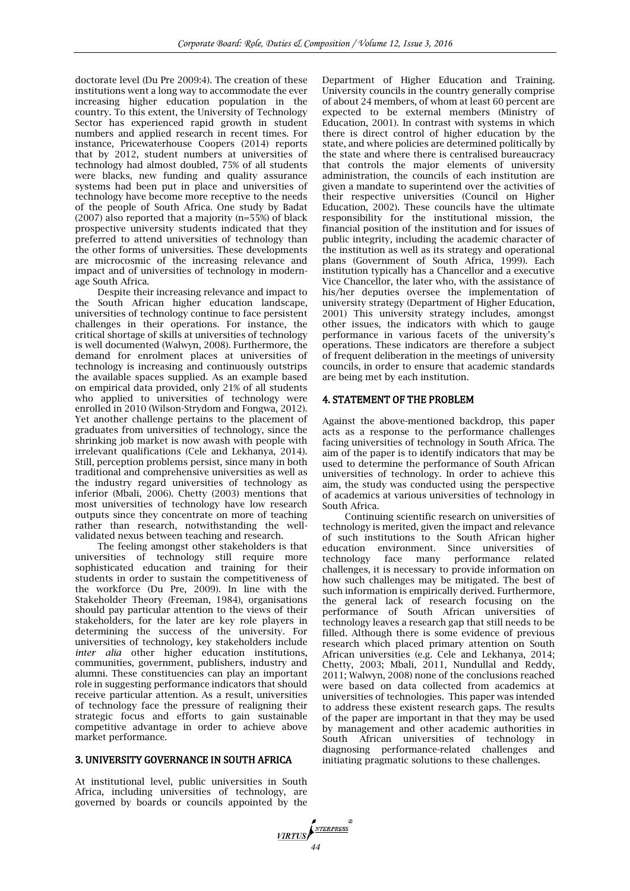doctorate level (Du Pre 2009:4). The creation of these institutions went a long way to accommodate the ever increasing higher education population in the country. To this extent, the University of Technology Sector has experienced rapid growth in student numbers and applied research in recent times. For instance, Pricewaterhouse Coopers (2014) reports that by 2012, student numbers at universities of technology had almost doubled, 75% of all students were blacks, new funding and quality assurance systems had been put in place and universities of technology have become more receptive to the needs of the people of South Africa. One study by Badat (2007) also reported that a majority (n=55%) of black prospective university students indicated that they preferred to attend universities of technology than the other forms of universities. These developments are microcosmic of the increasing relevance and impact and of universities of technology in modernage South Africa.

Despite their increasing relevance and impact to the South African higher education landscape, universities of technology continue to face persistent challenges in their operations. For instance, the critical shortage of skills at universities of technology is well documented (Walwyn, 2008). Furthermore, the demand for enrolment places at universities of technology is increasing and continuously outstrips the available spaces supplied. As an example based on empirical data provided, only 21% of all students who applied to universities of technology were enrolled in 2010 (Wilson-Strydom and Fongwa, 2012). Yet another challenge pertains to the placement of graduates from universities of technology, since the shrinking job market is now awash with people with irrelevant qualifications (Cele and Lekhanya, 2014). Still, perception problems persist, since many in both traditional and comprehensive universities as well as the industry regard universities of technology as inferior (Mbali, 2006). Chetty (2003) mentions that most universities of technology have low research outputs since they concentrate on more of teaching rather than research, notwithstanding the wellvalidated nexus between teaching and research.

The feeling amongst other stakeholders is that universities of technology still require more sophisticated education and training for their students in order to sustain the competitiveness of the workforce (Du Pre, 2009). In line with the Stakeholder Theory (Freeman, 1984), organisations should pay particular attention to the views of their stakeholders, for the later are key role players in determining the success of the university. For universities of technology, key stakeholders include *inter alia* other higher education institutions, communities, government, publishers, industry and alumni. These constituencies can play an important role in suggesting performance indicators that should receive particular attention. As a result, universities of technology face the pressure of realigning their strategic focus and efforts to gain sustainable competitive advantage in order to achieve above market performance.

#### 3. UNIVERSITY GOVERNANCE IN SOUTH AFRICA

At institutional level, public universities in South Africa, including universities of technology, are governed by boards or councils appointed by the Department of Higher Education and Training. University councils in the country generally comprise of about 24 members, of whom at least 60 percent are expected to be external members (Ministry of Education, 2001). In contrast with systems in which there is direct control of higher education by the state, and where policies are determined politically by the state and where there is centralised bureaucracy that controls the major elements of university administration, the councils of each institution are given a mandate to superintend over the activities of their respective universities (Council on Higher Education, 2002). These councils have the ultimate responsibility for the institutional mission, the financial position of the institution and for issues of public integrity, including the academic character of the institution as well as its strategy and operational plans (Government of South Africa, 1999). Each institution typically has a Chancellor and a executive Vice Chancellor, the later who, with the assistance of his/her deputies oversee the implementation of university strategy (Department of Higher Education, 2001) This university strategy includes, amongst other issues, the indicators with which to gauge performance in various facets of the university's operations. These indicators are therefore a subject of frequent deliberation in the meetings of university councils, in order to ensure that academic standards are being met by each institution.

#### 4. STATEMENT OF THE PROBLEM

Against the above-mentioned backdrop, this paper acts as a response to the performance challenges facing universities of technology in South Africa. The aim of the paper is to identify indicators that may be used to determine the performance of South African universities of technology. In order to achieve this aim, the study was conducted using the perspective of academics at various universities of technology in South Africa.

Continuing scientific research on universities of technology is merited, given the impact and relevance of such institutions to the South African higher education environment. Since universities of face many performance related challenges, it is necessary to provide information on how such challenges may be mitigated. The best of such information is empirically derived. Furthermore, the general lack of research focusing on the performance of South African universities of technology leaves a research gap that still needs to be filled. Although there is some evidence of previous research which placed primary attention on South African universities (e.g. Cele and Lekhanya, 2014; Chetty, 2003; Mbali, 2011, Nundullal and Reddy, 2011; Walwyn, 2008) none of the conclusions reached were based on data collected from academics at universities of technologies. This paper was intended to address these existent research gaps. The results of the paper are important in that they may be used by management and other academic authorities in South African universities of technology in diagnosing performance-related challenges and initiating pragmatic solutions to these challenges.

*MRTUS*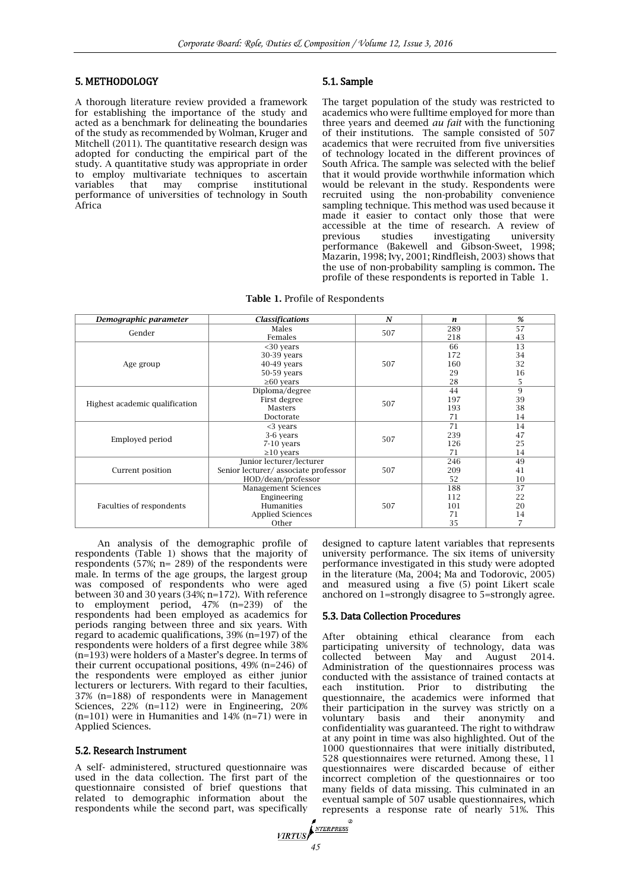#### 5. METHODOLOGY

A thorough literature review provided a framework for establishing the importance of the study and acted as a benchmark for delineating the boundaries of the study as recommended by Wolman, Kruger and Mitchell (2011). The quantitative research design was adopted for conducting the empirical part of the study. A quantitative study was appropriate in order to employ multivariate techniques to ascertain<br>variables that may comprise institutional may comprise institutional performance of universities of technology in South **Africa** 

## 5.1. Sample

The target population of the study was restricted to academics who were fulltime employed for more than three years and deemed *au fait* with the functioning of their institutions. The sample consisted of 507 academics that were recruited from five universities of technology located in the different provinces of South Africa. The sample was selected with the belief that it would provide worthwhile information which would be relevant in the study. Respondents were recruited using the non-probability convenience sampling technique. This method was used because it made it easier to contact only those that were accessible at the time of research. A review of previous studies investigating university performance (Bakewell and Gibson-Sweet, 1998; Mazarin, 1998; Ivy, 2001; Rindfleish, 2003) shows that the use of non-probability sampling is common. The profile of these respondents is reported in Table 1.

| Demographic parameter          | <b>Classifications</b>              | $\boldsymbol{N}$ | $\boldsymbol{n}$ | %              |
|--------------------------------|-------------------------------------|------------------|------------------|----------------|
|                                |                                     |                  |                  |                |
| Gender                         | Males                               | 507              | 289              | 57             |
|                                | Females                             |                  | 218              | 43             |
|                                | $30$ years                          |                  | 66               | 13             |
|                                | 30-39 years                         |                  | 172              | 34             |
| Age group                      | 40-49 years                         | 507              | 160              | 32             |
|                                | 50-59 years                         |                  | 29               | 16             |
|                                | $\geq 60$ years                     |                  | 28               | 5              |
|                                | Diploma/degree                      |                  | 44               | 9              |
| Highest academic qualification | First degree                        | 507              | 197              | 39             |
|                                | Masters                             | 193              | 38               |                |
|                                | Doctorate                           |                  | 71               | 14             |
| Employed period                | $<$ 3 years                         |                  | 71               | 14             |
|                                | 3-6 years<br>507                    |                  | 239              | 47             |
|                                | 7-10 years                          |                  | 126              | 25             |
|                                | $\geq$ 10 years                     |                  | 71               | 14             |
|                                | Junior lecturer/lecturer            |                  | 246              | 49             |
| Current position               | Senior lecturer/associate professor | 507              | 209              | 41             |
|                                | HOD/dean/professor                  |                  | 52               | 10             |
|                                | <b>Management Sciences</b>          |                  | 188              | 37             |
|                                | Engineering                         |                  | 112              | 22             |
| Faculties of respondents       | <b>Humanities</b>                   | 507              | 101              | 20             |
|                                | <b>Applied Sciences</b>             |                  | 71               | 14             |
|                                | Other                               |                  | 35               | $\overline{7}$ |

Table 1. Profile of Respondents

An analysis of the demographic profile of respondents (Table 1) shows that the majority of respondents (57%; n= 289) of the respondents were male. In terms of the age groups, the largest group was composed of respondents who were aged between 30 and 30 years (34%; n=172). With reference to employment period, 47% (n=239) of the respondents had been employed as academics for periods ranging between three and six years. With regard to academic qualifications, 39% (n=197) of the respondents were holders of a first degree while 38% (n=193) were holders of a Master's degree. In terms of their current occupational positions, 49% (n=246) of the respondents were employed as either junior lecturers or lecturers. With regard to their faculties, 37% (n=188) of respondents were in Management Sciences, 22% (n=112) were in Engineering, 20%  $(n=101)$  were in Humanities and  $14\%$   $(n=71)$  were in Applied Sciences.

#### 5.2. Research Instrument

A self- administered, structured questionnaire was used in the data collection. The first part of the questionnaire consisted of brief questions that related to demographic information about the respondents while the second part, was specifically

designed to capture latent variables that represents university performance. The six items of university performance investigated in this study were adopted in the literature (Ma, 2004; Ma and Todorovic, 2005) and measured using a five (5) point Likert scale anchored on 1=strongly disagree to 5=strongly agree.

#### 5.3. Data Collection Procedures

After obtaining ethical clearance from each participating university of technology, data was collected between May and August 2014. Administration of the questionnaires process was conducted with the assistance of trained contacts at each institution. Prior to distributing the questionnaire, the academics were informed that their participation in the survey was strictly on a voluntary basis and their anonymity and confidentiality was guaranteed. The right to withdraw at any point in time was also highlighted. Out of the 1000 questionnaires that were initially distributed, 528 questionnaires were returned. Among these, 11 questionnaires were discarded because of either incorrect completion of the questionnaires or too many fields of data missing. This culminated in an eventual sample of 507 usable questionnaires, which represents a response rate of nearly 51%. This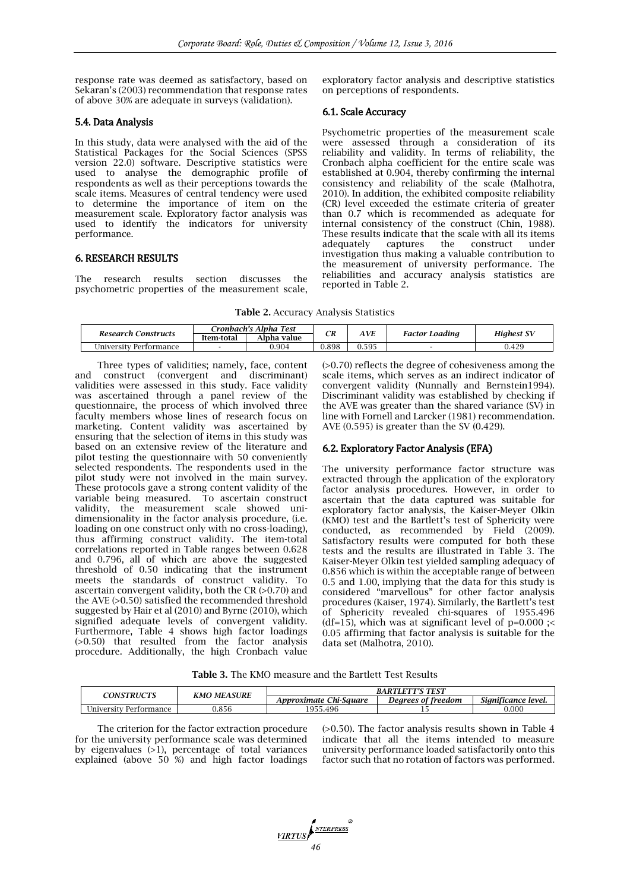response rate was deemed as satisfactory, based on Sekaran's (2003) recommendation that response rates of above 30% are adequate in surveys (validation).

#### 5.4. Data Analysis

In this study, data were analysed with the aid of the Statistical Packages for the Social Sciences (SPSS version 22.0) software. Descriptive statistics were used to analyse the demographic profile of respondents as well as their perceptions towards the scale items. Measures of central tendency were used to determine the importance of item on the measurement scale. Exploratory factor analysis was used to identify the indicators for university performance.

## 6. RESEARCH RESULTS

The research results section discusses the psychometric properties of the measurement scale,

exploratory factor analysis and descriptive statistics on perceptions of respondents.

#### 6.1. Scale Accuracy

Psychometric properties of the measurement scale were assessed through a consideration of its reliability and validity. In terms of reliability, the Cronbach alpha coefficient for the entire scale was established at 0.904, thereby confirming the internal consistency and reliability of the scale (Malhotra, 2010). In addition, the exhibited composite reliability (CR) level exceeded the estimate criteria of greater than 0.7 which is recommended as adequate for internal consistency of the construct (Chin, 1988). These results indicate that the scale with all its items adequately captures the construct under investigation thus making a valuable contribution to the measurement of university performance. The reliabilities and accuracy analysis statistics are reported in Table 2.

| Table 2. Accuracy Analysis Statistics |  |  |
|---------------------------------------|--|--|
|---------------------------------------|--|--|

| Research Constructs    | Cronbach's Alpha Test | CR          | AVE   |       | <b>Highest SV</b>     |       |
|------------------------|-----------------------|-------------|-------|-------|-----------------------|-------|
|                        | Item-total            | Alpha value |       |       | <b>Factor Loading</b> |       |
| University Performance |                       | 0.904       | 0.898 | ).595 |                       | 0.429 |

Three types of validities; namely, face, content and construct (convergent and discriminant) validities were assessed in this study. Face validity was ascertained through a panel review of the questionnaire, the process of which involved three faculty members whose lines of research focus on marketing. Content validity was ascertained by ensuring that the selection of items in this study was based on an extensive review of the literature and pilot testing the questionnaire with 50 conveniently selected respondents. The respondents used in the pilot study were not involved in the main survey. These protocols gave a strong content validity of the variable being measured. To ascertain construct validity, the measurement scale showed unidimensionality in the factor analysis procedure, (i.e. loading on one construct only with no cross-loading), thus affirming construct validity. The item-total correlations reported in Table ranges between 0.628 and 0.796, all of which are above the suggested threshold of 0.50 indicating that the instrument meets the standards of construct validity. To ascertain convergent validity, both the CR  $(>0.70)$  and the AVE (>0.50) satisfied the recommended threshold suggested by Hair et al (2010) and Byrne (2010), which signified adequate levels of convergent validity. Furthermore, Table 4 shows high factor loadings (>0.50) that resulted from the factor analysis procedure. Additionally, the high Cronbach value

(>0.70) reflects the degree of cohesiveness among the scale items, which serves as an indirect indicator of convergent validity (Nunnally and Bernstein1994). Discriminant validity was established by checking if the AVE was greater than the shared variance (SV) in line with Fornell and Larcker (1981) recommendation. AVE (0.595) is greater than the SV (0.429).

#### 6.2. Exploratory Factor Analysis (EFA)

The university performance factor structure was extracted through the application of the exploratory factor analysis procedures. However, in order to ascertain that the data captured was suitable for exploratory factor analysis, the Kaiser-Meyer Olkin (KMO) test and the Bartlett's test of Sphericity were conducted, as recommended by Field (2009). Satisfactory results were computed for both these tests and the results are illustrated in Table 3. The Kaiser-Meyer Olkin test yielded sampling adequacy of 0.856 which is within the acceptable range of between 0.5 and 1.00, implying that the data for this study is considered "marvellous" for other factor analysis procedures (Kaiser, 1974). Similarly, the Bartlett's test of Sphericity revealed chi-squares of 1955.496 (df=15), which was at significant level of  $p=0.000$ ; 0.05 affirming that factor analysis is suitable for the data set (Malhotra, 2010).

Table 3. The KMO measure and the Bartlett Test Results

| <b>CONSTRUCTS</b>      | <b>KMO MEASURE</b> | <b>BARTLETT'S TEST</b> |                    |                     |  |  |  |
|------------------------|--------------------|------------------------|--------------------|---------------------|--|--|--|
|                        |                    | Approximate Chi-Sauare | Dearees of freedom | Sianificance level. |  |  |  |
| University Performance | .856 ر             | 1955.<br>5.496         |                    | 0.000               |  |  |  |

The criterion for the factor extraction procedure for the university performance scale was determined by eigenvalues (>1), percentage of total variances explained (above 50 %) and high factor loadings

(>0.50). The factor analysis results shown in Table 4 indicate that all the items intended to measure university performance loaded satisfactorily onto this factor such that no rotation of factors was performed.

*MRTUS*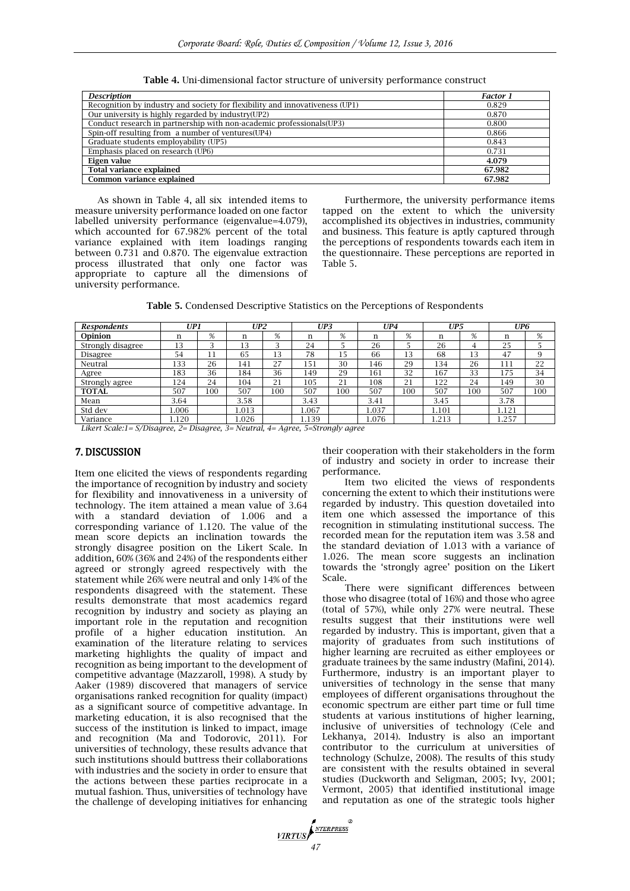Table 4. Uni-dimensional factor structure of university performance construct

| <b>Description</b>                                                           | <b>Factor 1</b> |
|------------------------------------------------------------------------------|-----------------|
| Recognition by industry and society for flexibility and innovativeness (UP1) | 0.829           |
| Our university is highly regarded by industry(UP2)                           | 0.870           |
| Conduct research in partnership with non-academic professionals (UP3)        | 0.800           |
| Spin-off resulting from a number of ventures (UP4)                           | 0.866           |
| Graduate students employability (UP5)                                        | 0.843           |
| Emphasis placed on research (UP6)                                            | 0.731           |
| Eigen value                                                                  | 4.079           |
| <b>Total variance explained</b>                                              | 67.982          |
| Common variance explained                                                    | 67.982          |

As shown in Table 4, all six intended items to measure university performance loaded on one factor labelled university performance (eigenvalue=4.079), which accounted for 67.982% percent of the total variance explained with item loadings ranging between 0.731 and 0.870. The eigenvalue extraction process illustrated that only one factor was appropriate to capture all the dimensions of university performance.

Furthermore, the university performance items tapped on the extent to which the university accomplished its objectives in industries, community and business. This feature is aptly captured through the perceptions of respondents towards each item in the questionnaire. These perceptions are reported in Table 5.

Table 5. Condensed Descriptive Statistics on the Perceptions of Respondents

| <b>Respondents</b>                                                                                                                                                                                                                                                                                                      | UP <sub>1</sub>       |     | UP2                        |     | UP3                |     | UP4   |     | UP5   |     | UP <sub>6</sub> |     |
|-------------------------------------------------------------------------------------------------------------------------------------------------------------------------------------------------------------------------------------------------------------------------------------------------------------------------|-----------------------|-----|----------------------------|-----|--------------------|-----|-------|-----|-------|-----|-----------------|-----|
| Opinion                                                                                                                                                                                                                                                                                                                 | n                     | %   | n                          | %   | n                  | %   | n     | %   |       | %   | n               | %   |
| Strongly disagree                                                                                                                                                                                                                                                                                                       | 13                    | ົ   | 13                         | ς   | 24                 |     | 26    |     | 26    | 4   | 25              |     |
| Disagree                                                                                                                                                                                                                                                                                                                | 54                    | 11  | 65                         | 13  | 78                 | 15  | 66    | 13  | 68    | 13  | 47              | 9   |
| Neutral                                                                                                                                                                                                                                                                                                                 | 133                   | 26  | 141                        | 27  | 151                | 30  | 146   | 29  | 134   | 26  | 111             | 22  |
| Agree                                                                                                                                                                                                                                                                                                                   | 183                   | 36  | 184                        | 36  | 149                | 29  | 161   | 32  | 167   | 33  | 175             | 34  |
| Strongly agree                                                                                                                                                                                                                                                                                                          | 124                   | 24  | 104                        | 21  | 105                | 21  | 108   | 21  | 122   | 24  | 149             | 30  |
| <b>TOTAL</b>                                                                                                                                                                                                                                                                                                            | 507                   | 100 | 507                        | 100 | 507                | 100 | 507   | 100 | 507   | 100 | 507             | 100 |
| Mean                                                                                                                                                                                                                                                                                                                    | 3.64                  |     | 3.58                       |     | 3.43               |     | 3.41  |     | 3.45  |     | 3.78            |     |
| Std dev                                                                                                                                                                                                                                                                                                                 | .006                  |     | 0.013                      |     | 1.067              |     | 1.037 |     | 1.101 |     | 1.121           |     |
| Variance<br>$\mathbf{r}$ , $\mathbf{r}$ , $\mathbf{r}$ , $\mathbf{r}$ , $\mathbf{r}$ , $\mathbf{r}$ , $\mathbf{r}$ , $\mathbf{r}$ , $\mathbf{r}$ , $\mathbf{r}$ , $\mathbf{r}$ , $\mathbf{r}$ , $\mathbf{r}$ , $\mathbf{r}$ , $\mathbf{r}$ , $\mathbf{r}$ , $\mathbf{r}$ , $\mathbf{r}$ , $\mathbf{r}$ , $\mathbf{r}$ , | .120<br>$\sim$ $\sim$ |     | 1.026<br>$0 \leq x \leq 1$ |     | 1.139<br>$-\alpha$ |     | 1.076 |     | .213  |     | 1.257           |     |

*Likert Scale:1= S/Disagree, 2= Disagree, 3= Neutral, 4= Agree, 5=Strongly agree*

#### 7. DISCUSSION

Item one elicited the views of respondents regarding the importance of recognition by industry and society for flexibility and innovativeness in a university of technology. The item attained a mean value of 3.64 with a standard deviation of 1.006 and a corresponding variance of 1.120. The value of the mean score depicts an inclination towards the strongly disagree position on the Likert Scale. In addition, 60% (36% and 24%) of the respondents either agreed or strongly agreed respectively with the statement while 26% were neutral and only 14% of the respondents disagreed with the statement. These results demonstrate that most academics regard recognition by industry and society as playing an important role in the reputation and recognition profile of a higher education institution. An examination of the literature relating to services marketing highlights the quality of impact and recognition as being important to the development of competitive advantage (Mazzaroll, 1998). A study by Aaker (1989) discovered that managers of service organisations ranked recognition for quality (impact) as a significant source of competitive advantage. In marketing education, it is also recognised that the success of the institution is linked to impact, image and recognition (Ma and Todorovic, 2011). For universities of technology, these results advance that such institutions should buttress their collaborations with industries and the society in order to ensure that the actions between these parties reciprocate in a mutual fashion. Thus, universities of technology have the challenge of developing initiatives for enhancing their cooperation with their stakeholders in the form of industry and society in order to increase their performance.

Item two elicited the views of respondents concerning the extent to which their institutions were regarded by industry. This question dovetailed into item one which assessed the importance of this recognition in stimulating institutional success. The recorded mean for the reputation item was 3.58 and the standard deviation of 1.013 with a variance of 1.026. The mean score suggests an inclination towards the 'strongly agree' position on the Likert Scale.

There were significant differences between those who disagree (total of 16%) and those who agree (total of 57%), while only 27% were neutral. These results suggest that their institutions were well regarded by industry. This is important, given that a majority of graduates from such institutions of higher learning are recruited as either employees or graduate trainees by the same industry (Mafini, 2014). Furthermore, industry is an important player to universities of technology in the sense that many employees of different organisations throughout the economic spectrum are either part time or full time students at various institutions of higher learning, inclusive of universities of technology (Cele and Lekhanya, 2014). Industry is also an important contributor to the curriculum at universities of technology (Schulze, 2008). The results of this study are consistent with the results obtained in several studies (Duckworth and Seligman, 2005; Ivy, 2001; Vermont, 2005) that identified institutional image and reputation as one of the strategic tools higher

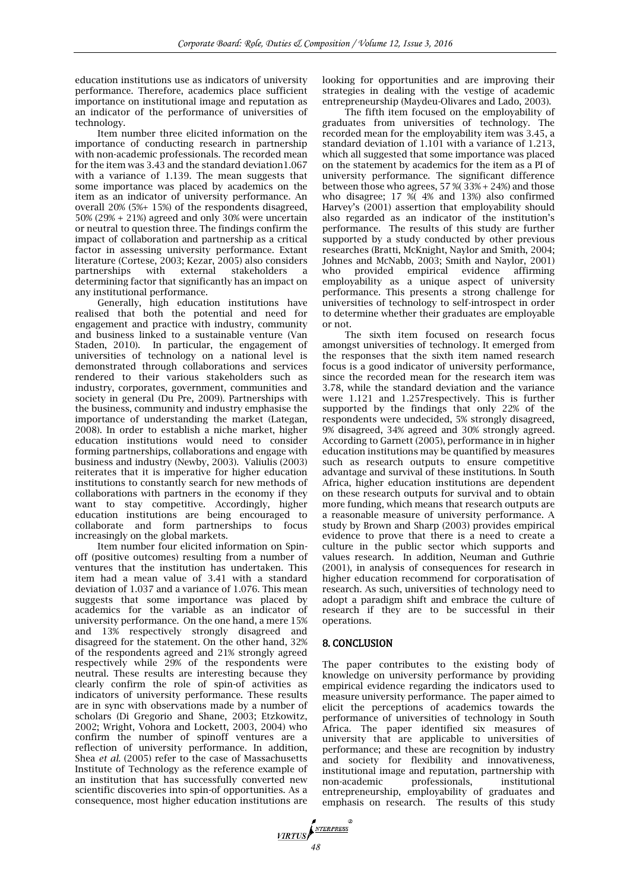education institutions use as indicators of university performance. Therefore, academics place sufficient importance on institutional image and reputation as an indicator of the performance of universities of technology.

Item number three elicited information on the importance of conducting research in partnership with non-academic professionals. The recorded mean for the item was 3.43 and the standard deviation1.067 with a variance of 1.139. The mean suggests that some importance was placed by academics on the item as an indicator of university performance. An overall 20% (5%+ 15%) of the respondents disagreed, 50% (29% + 21%) agreed and only 30% were uncertain or neutral to question three. The findings confirm the impact of collaboration and partnership as a critical factor in assessing university performance. Extant literature (Cortese, 2003; Kezar, 2005) also considers partnerships with external stakeholders a determining factor that significantly has an impact on any institutional performance.

Generally, high education institutions have realised that both the potential and need for engagement and practice with industry, community and business linked to a sustainable venture (Van Staden, 2010). In particular, the engagement of universities of technology on a national level is demonstrated through collaborations and services rendered to their various stakeholders such as industry, corporates, government, communities and society in general (Du Pre, 2009). Partnerships with the business, community and industry emphasise the importance of understanding the market (Lategan, 2008). In order to establish a niche market, higher education institutions would need to consider forming partnerships, collaborations and engage with business and industry (Newby, 2003). Valiulis (2003) reiterates that it is imperative for higher education institutions to constantly search for new methods of collaborations with partners in the economy if they want to stay competitive. Accordingly, higher education institutions are being encouraged to collaborate and form partnerships to focus increasingly on the global markets.

Item number four elicited information on Spinoff (positive outcomes) resulting from a number of ventures that the institution has undertaken. This item had a mean value of 3.41 with a standard deviation of 1.037 and a variance of 1.076. This mean suggests that some importance was placed by academics for the variable as an indicator of university performance. On the one hand, a mere 15% and 13% respectively strongly disagreed and disagreed for the statement. On the other hand, 32% of the respondents agreed and 21% strongly agreed respectively while 29% of the respondents were neutral. These results are interesting because they clearly confirm the role of spin-of activities as indicators of university performance. These results are in sync with observations made by a number of scholars (Di Gregorio and Shane, 2003; Etzkowitz, 2002; Wright, Vohora and Lockett, 2003, 2004) who confirm the number of spinoff ventures are a reflection of university performance. In addition, Shea *et al.* (2005) refer to the case of Massachusetts Institute of Technology as the reference example of an institution that has successfully converted new scientific discoveries into spin-of opportunities. As a consequence, most higher education institutions are looking for opportunities and are improving their strategies in dealing with the vestige of academic entrepreneurship (Maydeu-Olivares and Lado, 2003).

The fifth item focused on the employability of graduates from universities of technology. The recorded mean for the employability item was 3.45, a standard deviation of 1.101 with a variance of 1.213, which all suggested that some importance was placed on the statement by academics for the item as a PI of university performance. The significant difference between those who agrees, 57 %( 33% + 24%) and those who disagree; 17 %( 4% and 13%) also confirmed Harvey's (2001) assertion that employability should also regarded as an indicator of the institution's performance. The results of this study are further supported by a study conducted by other previous researches (Bratti, McKnight, Naylor and Smith, 2004; Johnes and McNabb, 2003; Smith and Naylor, 2001) who provided empirical evidence affirming employability as a unique aspect of university performance. This presents a strong challenge for universities of technology to self-introspect in order to determine whether their graduates are employable or not.

The sixth item focused on research focus amongst universities of technology. It emerged from the responses that the sixth item named research focus is a good indicator of university performance, since the recorded mean for the research item was 3.78, while the standard deviation and the variance were 1.121 and 1.257respectively. This is further supported by the findings that only 22% of the respondents were undecided, 5% strongly disagreed, 9% disagreed, 34% agreed and 30% strongly agreed. According to Garnett (2005), performance in in higher education institutions may be quantified by measures such as research outputs to ensure competitive advantage and survival of these institutions. In South Africa, higher education institutions are dependent on these research outputs for survival and to obtain more funding, which means that research outputs are a reasonable measure of university performance. A study by Brown and Sharp (2003) provides empirical evidence to prove that there is a need to create a culture in the public sector which supports and values research. In addition, Neuman and Guthrie (2001), in analysis of consequences for research in higher education recommend for corporatisation of research. As such, universities of technology need to adopt a paradigm shift and embrace the culture of research if they are to be successful in their operations.

# 8. CONCLUSION

The paper contributes to the existing body of knowledge on university performance by providing empirical evidence regarding the indicators used to measure university performance. The paper aimed to elicit the perceptions of academics towards the performance of universities of technology in South Africa. The paper identified six measures of university that are applicable to universities of performance; and these are recognition by industry and society for flexibility and innovativeness, institutional image and reputation, partnership with non-academic professionals, institutional entrepreneurship, employability of graduates and emphasis on research. The results of this study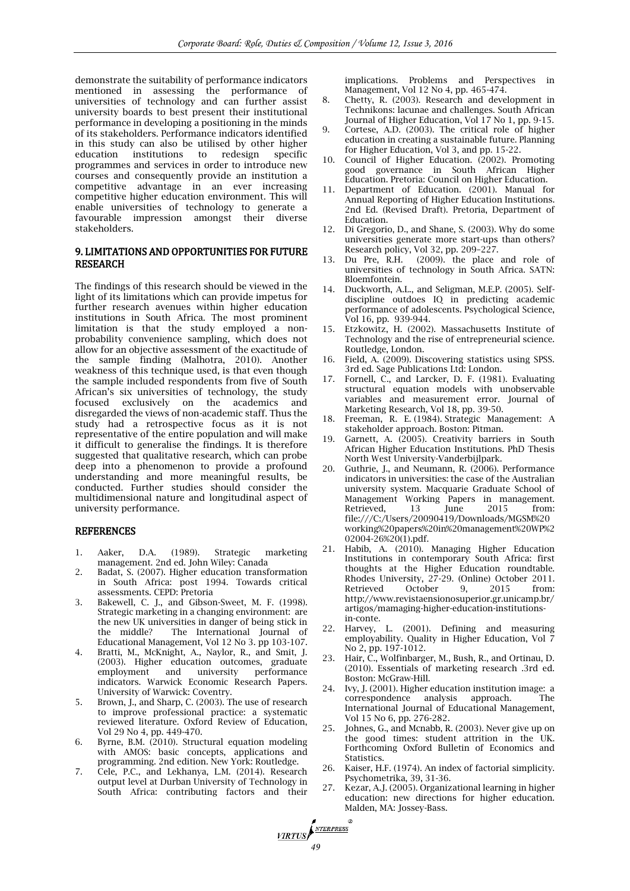demonstrate the suitability of performance indicators mentioned in assessing the performance of universities of technology and can further assist university boards to best present their institutional performance in developing a positioning in the minds of its stakeholders. Performance indicators identified in this study can also be utilised by other higher education institutions to redesign specific programmes and services in order to introduce new courses and consequently provide an institution a competitive advantage in an ever increasing competitive higher education environment. This will enable universities of technology to generate a favourable impression amongst their diverse stakeholders.

#### 9. LIMITATIONS AND OPPORTUNITIES FOR FUTURE RESEARCH

The findings of this research should be viewed in the light of its limitations which can provide impetus for further research avenues within higher education institutions in South Africa. The most prominent limitation is that the study employed a nonprobability convenience sampling, which does not allow for an objective assessment of the exactitude of the sample finding (Malhotra, 2010). Another weakness of this technique used, is that even though the sample included respondents from five of South African's six universities of technology, the study focused exclusively on the academics and disregarded the views of non-academic staff. Thus the study had a retrospective focus as it is not representative of the entire population and will make it difficult to generalise the findings. It is therefore suggested that qualitative research, which can probe deep into a phenomenon to provide a profound understanding and more meaningful results, be conducted. Further studies should consider the multidimensional nature and longitudinal aspect of university performance.

#### **REFERENCES**

- 1. Aaker, D.A. (1989). Strategic marketing management. 2nd ed. John Wiley: Canada
- 2. Badat, S. (2007). Higher education transformation in South Africa: post 1994. Towards critical assessments. CEPD: Pretoria
- 3. Bakewell, C. J., and Gibson-Sweet, M. F. (1998). Strategic marketing in a changing environment: are the new UK universities in danger of being stick in<br>the middle? The International Journal of The International Journal of Educational Management, Vol 12 No 3. pp 103-107.
- 4. Bratti, M., McKnight, A., Naylor, R., and Smit, J. (2003). Higher education outcomes, graduate employment and university performance indicators. Warwick Economic Research Papers. University of Warwick: Coventry.
- 5. Brown, J., and Sharp, C. (2003). The use of research to improve professional practice: a systematic reviewed literature. Oxford Review of Education, Vol 29 No 4, pp. 449-470.
- 6. Byrne, B.M. (2010). Structural equation modeling with AMOS: basic concepts, applications and programming. 2nd edition. New York: Routledge.
- 7. Cele, P.C., and Lekhanya, L.M. (2014). Research output level at Durban University of Technology in South Africa: contributing factors and their

implications. Problems and Perspectives in Management, Vol 12 No 4, pp. 465-474.

- 8. Chetty, R. (2003). Research and development in Technikons: lacunae and challenges. South African Journal of Higher Education, Vol 17 No 1, pp. 9-15.
- Cortese, A.D. (2003). The critical role of higher education in creating a sustainable future. Planning for Higher Education, Vol 3, and pp. 15-22.
- 10. Council of Higher Education. (2002). Promoting good governance in South African Higher Education. Pretoria: Council on Higher Education.
- 11. Department of Education. (2001). Manual for Annual Reporting of Higher Education Institutions. 2nd Ed. (Revised Draft). Pretoria, Department of Education.
- 12. Di Gregorio, D., and Shane, S. (2003). Why do some universities generate more start-ups than others? Research policy, Vol 32, pp. 209–227.<br>13. Du Pre, R.H. (2009). the place
- (2009). the place and role of universities of technology in South Africa. SATN: Bloemfontein.
- 14. Duckworth, A.L., and Seligman, M.E.P. (2005). Selfdiscipline outdoes IQ in predicting academic performance of adolescents. Psychological Science, Vol 16, pp. 939-944.
- 15. Etzkowitz, H. (2002). Massachusetts Institute of Technology and the rise of entrepreneurial science. Routledge, London.
- 16. Field, A. (2009). Discovering statistics using SPSS. 3rd ed. Sage Publications Ltd: London.
- 17. Fornell, C., and Larcker, D. F. (1981). Evaluating structural equation models with unobservable variables and measurement error. Journal of Marketing Research, Vol 18, pp. 39-50.
- 18. [Freeman, R. E.](https://en.wikipedia.org/wiki/R._Edward_Freeman) (1984). Strategic Management: A stakeholder approach. Boston: Pitman.
- 19. Garnett, A. (2005). Creativity barriers in South African Higher Education Institutions. PhD Thesis North West University-Vanderbijlpark.
- 20. Guthrie, J., and Neumann, R. (2006). Performance indicators in universities: the case of the Australian university system. Macquarie Graduate School of Management Working Papers in management.<br>Retrieved. 13 Iune 2015 from: Retrieved, 13 June 2015 from: [file:///C:/Users/20090419/Downloads/MGSM%20](file:///C:/Users/20090419/Downloads/MGSM%20working%20papers%20in%20management%20WP%202004-26%20(1).pdf) [working%20papers%20in%20management%20WP%2](file:///C:/Users/20090419/Downloads/MGSM%20working%20papers%20in%20management%20WP%202004-26%20(1).pdf) [02004-26%20\(1\).pdf.](file:///C:/Users/20090419/Downloads/MGSM%20working%20papers%20in%20management%20WP%202004-26%20(1).pdf)
- 21. Habib, A. (2010). Managing Higher Education Institutions in contemporary South Africa: first thoughts at the Higher Education roundtable. Rhodes University, 27-29. (Online) October 2011.<br>Retrieved October 9. 2015 from: Retrieved October 9, 2015 from: [http://www.revistaensionosuperior.gr.unicamp.br/](http://www.revistaensionosuperior.gr.unicamp.br/artigos/mamaging-higher-education-institutions-in-conte) [artigos/mamaging-higher-education-institutions](http://www.revistaensionosuperior.gr.unicamp.br/artigos/mamaging-higher-education-institutions-in-conte)[in-conte.](http://www.revistaensionosuperior.gr.unicamp.br/artigos/mamaging-higher-education-institutions-in-conte)
- 22. Harvey, L. (2001). Defining and measuring employability. Quality in Higher Education, Vol 7 No 2, pp. 197-1012.
- 23. Hair, C., Wolfinbarger, M., Bush, R., and Ortinau, D. (2010). Essentials of marketing research .3rd ed. Boston: McGraw-Hill.
- 24. Ivy, J. (2001). Higher education institution image: a correspondence analysis approach. The International Journal of Educational Management, Vol 15 No 6, pp. 276-282.
- 25. Johnes, G., and Mcnabb, R. (2003). Never give up on the good times: student attrition in the UK. Forthcoming Oxford Bulletin of Economics and Statistics.
- 26. Kaiser, H.F. (1974). An index of factorial simplicity. Psychometrika, 39, 31-36.
- 27. Kezar, A.J. (2005). Organizational learning in higher education: new directions for higher education. Malden, MA: Jossey-Bass.

*VIRTUS*